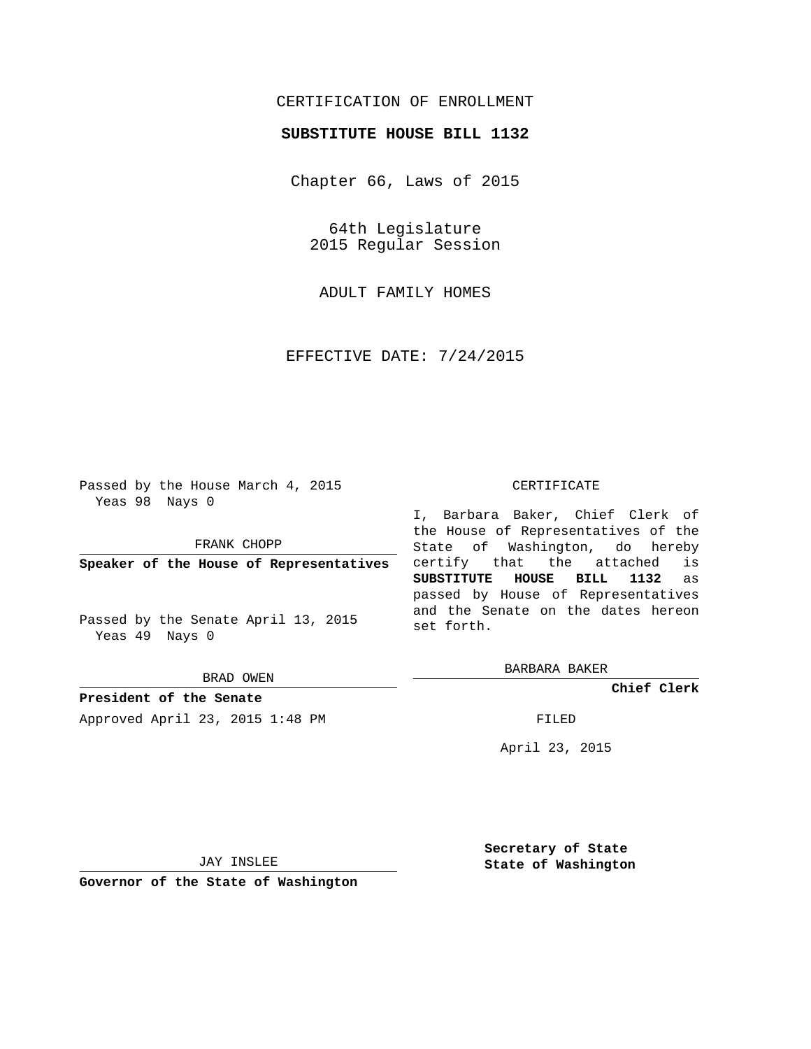## CERTIFICATION OF ENROLLMENT

## **SUBSTITUTE HOUSE BILL 1132**

Chapter 66, Laws of 2015

64th Legislature 2015 Regular Session

ADULT FAMILY HOMES

EFFECTIVE DATE: 7/24/2015

Passed by the House March 4, 2015 Yeas 98 Nays 0

FRANK CHOPP

**Speaker of the House of Representatives**

Passed by the Senate April 13, 2015 Yeas 49 Nays 0

BRAD OWEN

**President of the Senate**

Approved April 23, 2015 1:48 PM FILED

## CERTIFICATE

I, Barbara Baker, Chief Clerk of the House of Representatives of the State of Washington, do hereby certify that the attached is **SUBSTITUTE HOUSE BILL 1132** as passed by House of Representatives and the Senate on the dates hereon set forth.

BARBARA BAKER

**Chief Clerk**

April 23, 2015

JAY INSLEE

**Governor of the State of Washington**

**Secretary of State State of Washington**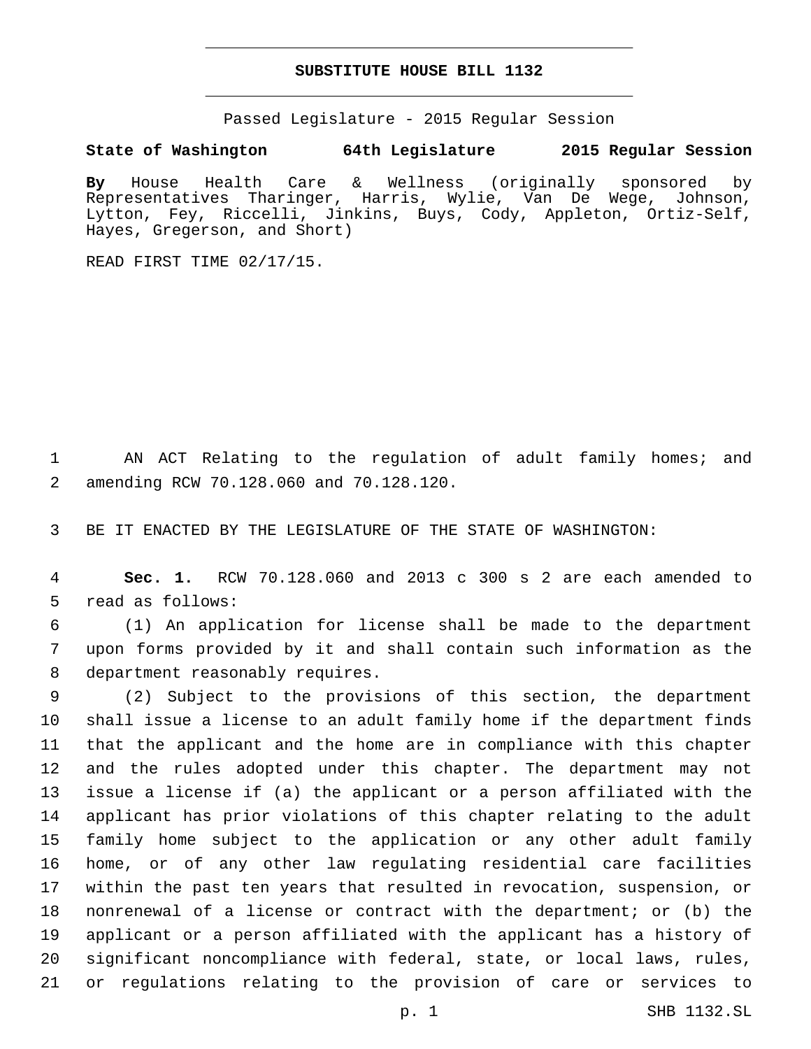## **SUBSTITUTE HOUSE BILL 1132**

Passed Legislature - 2015 Regular Session

**State of Washington 64th Legislature 2015 Regular Session**

**By** House Health Care & Wellness (originally sponsored by Representatives Tharinger, Harris, Wylie, Van De Wege, Johnson, Lytton, Fey, Riccelli, Jinkins, Buys, Cody, Appleton, Ortiz-Self, Hayes, Gregerson, and Short)

READ FIRST TIME 02/17/15.

1 AN ACT Relating to the regulation of adult family homes; and amending RCW 70.128.060 and 70.128.120.2

3 BE IT ENACTED BY THE LEGISLATURE OF THE STATE OF WASHINGTON:

4 **Sec. 1.** RCW 70.128.060 and 2013 c 300 s 2 are each amended to 5 read as follows:

6 (1) An application for license shall be made to the department 7 upon forms provided by it and shall contain such information as the 8 department reasonably requires.

 (2) Subject to the provisions of this section, the department shall issue a license to an adult family home if the department finds that the applicant and the home are in compliance with this chapter and the rules adopted under this chapter. The department may not issue a license if (a) the applicant or a person affiliated with the applicant has prior violations of this chapter relating to the adult family home subject to the application or any other adult family home, or of any other law regulating residential care facilities within the past ten years that resulted in revocation, suspension, or nonrenewal of a license or contract with the department; or (b) the applicant or a person affiliated with the applicant has a history of significant noncompliance with federal, state, or local laws, rules, or regulations relating to the provision of care or services to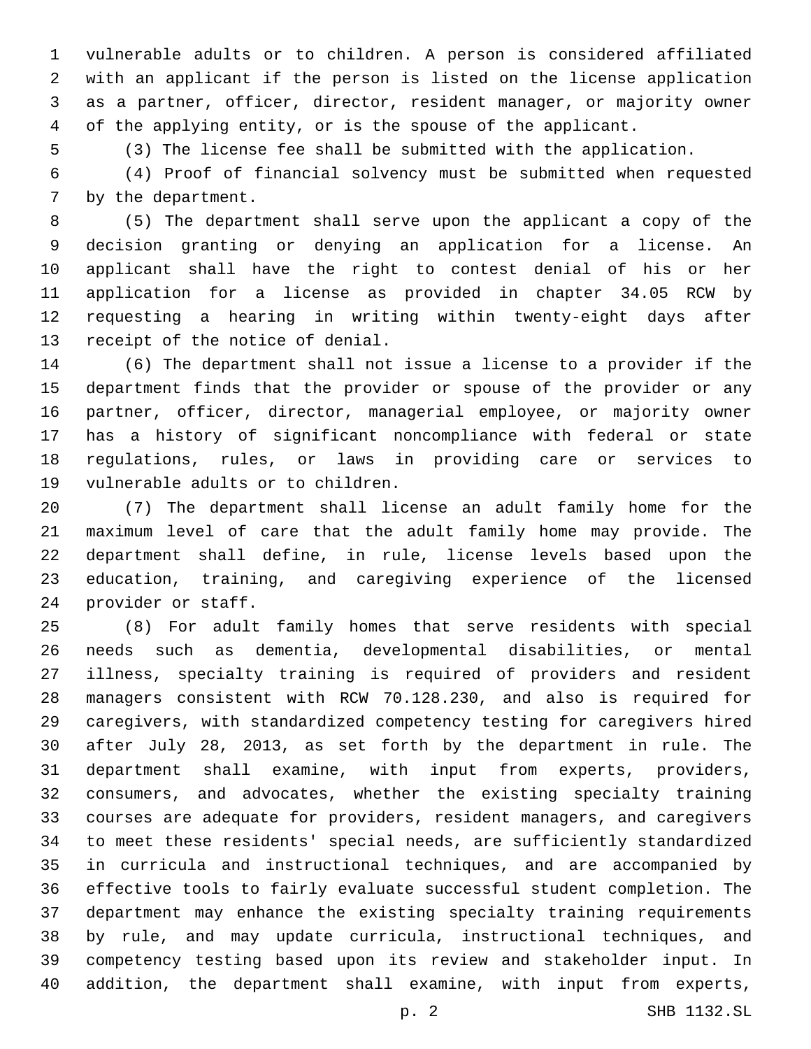vulnerable adults or to children. A person is considered affiliated with an applicant if the person is listed on the license application as a partner, officer, director, resident manager, or majority owner of the applying entity, or is the spouse of the applicant.

(3) The license fee shall be submitted with the application.

 (4) Proof of financial solvency must be submitted when requested 7 by the department.

 (5) The department shall serve upon the applicant a copy of the decision granting or denying an application for a license. An applicant shall have the right to contest denial of his or her application for a license as provided in chapter 34.05 RCW by requesting a hearing in writing within twenty-eight days after 13 receipt of the notice of denial.

 (6) The department shall not issue a license to a provider if the department finds that the provider or spouse of the provider or any partner, officer, director, managerial employee, or majority owner has a history of significant noncompliance with federal or state regulations, rules, or laws in providing care or services to 19 vulnerable adults or to children.

 (7) The department shall license an adult family home for the maximum level of care that the adult family home may provide. The department shall define, in rule, license levels based upon the education, training, and caregiving experience of the licensed 24 provider or staff.

 (8) For adult family homes that serve residents with special needs such as dementia, developmental disabilities, or mental illness, specialty training is required of providers and resident managers consistent with RCW 70.128.230, and also is required for caregivers, with standardized competency testing for caregivers hired after July 28, 2013, as set forth by the department in rule. The department shall examine, with input from experts, providers, consumers, and advocates, whether the existing specialty training courses are adequate for providers, resident managers, and caregivers to meet these residents' special needs, are sufficiently standardized in curricula and instructional techniques, and are accompanied by effective tools to fairly evaluate successful student completion. The department may enhance the existing specialty training requirements by rule, and may update curricula, instructional techniques, and competency testing based upon its review and stakeholder input. In addition, the department shall examine, with input from experts,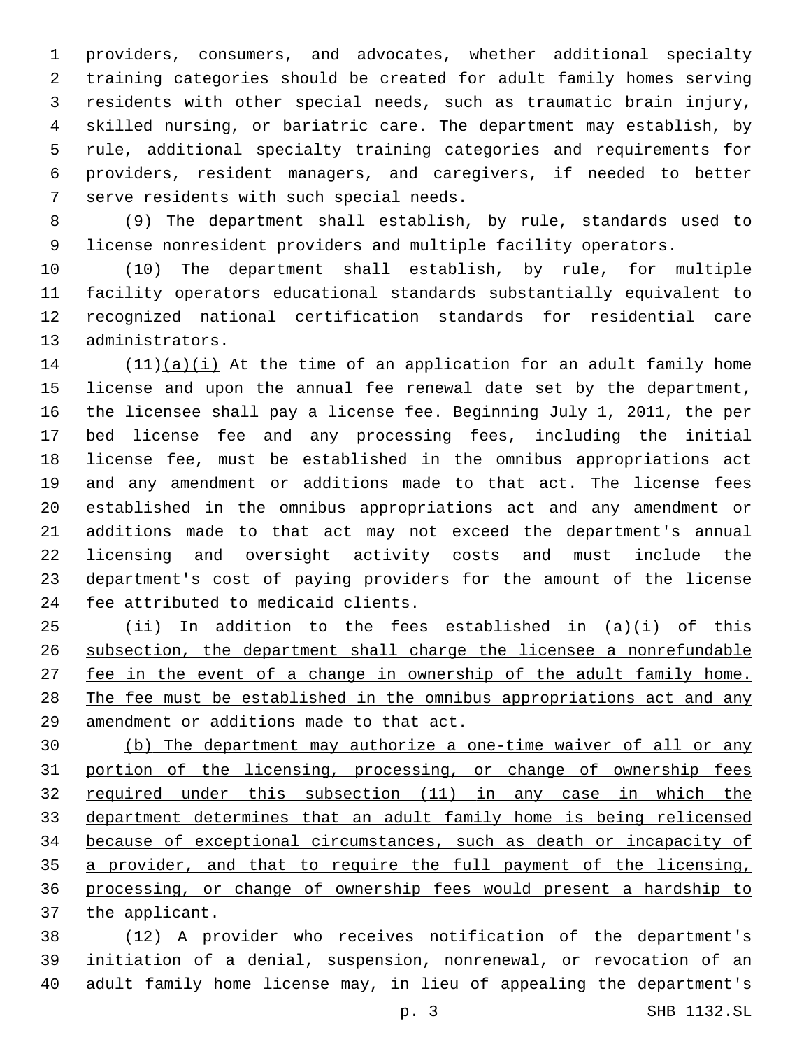providers, consumers, and advocates, whether additional specialty training categories should be created for adult family homes serving residents with other special needs, such as traumatic brain injury, skilled nursing, or bariatric care. The department may establish, by rule, additional specialty training categories and requirements for providers, resident managers, and caregivers, if needed to better 7 serve residents with such special needs.

 (9) The department shall establish, by rule, standards used to license nonresident providers and multiple facility operators.

 (10) The department shall establish, by rule, for multiple facility operators educational standards substantially equivalent to recognized national certification standards for residential care 13 administrators.

 (11)(a)(i) At the time of an application for an adult family home license and upon the annual fee renewal date set by the department, the licensee shall pay a license fee. Beginning July 1, 2011, the per bed license fee and any processing fees, including the initial license fee, must be established in the omnibus appropriations act and any amendment or additions made to that act. The license fees established in the omnibus appropriations act and any amendment or additions made to that act may not exceed the department's annual licensing and oversight activity costs and must include the department's cost of paying providers for the amount of the license 24 fee attributed to medicaid clients.

 (ii) In addition to the fees established in (a)(i) of this subsection, the department shall charge the licensee a nonrefundable 27 fee in the event of a change in ownership of the adult family home. The fee must be established in the omnibus appropriations act and any amendment or additions made to that act.

 (b) The department may authorize a one-time waiver of all or any portion of the licensing, processing, or change of ownership fees required under this subsection (11) in any case in which the department determines that an adult family home is being relicensed because of exceptional circumstances, such as death or incapacity of a provider, and that to require the full payment of the licensing, processing, or change of ownership fees would present a hardship to the applicant.

 (12) A provider who receives notification of the department's initiation of a denial, suspension, nonrenewal, or revocation of an adult family home license may, in lieu of appealing the department's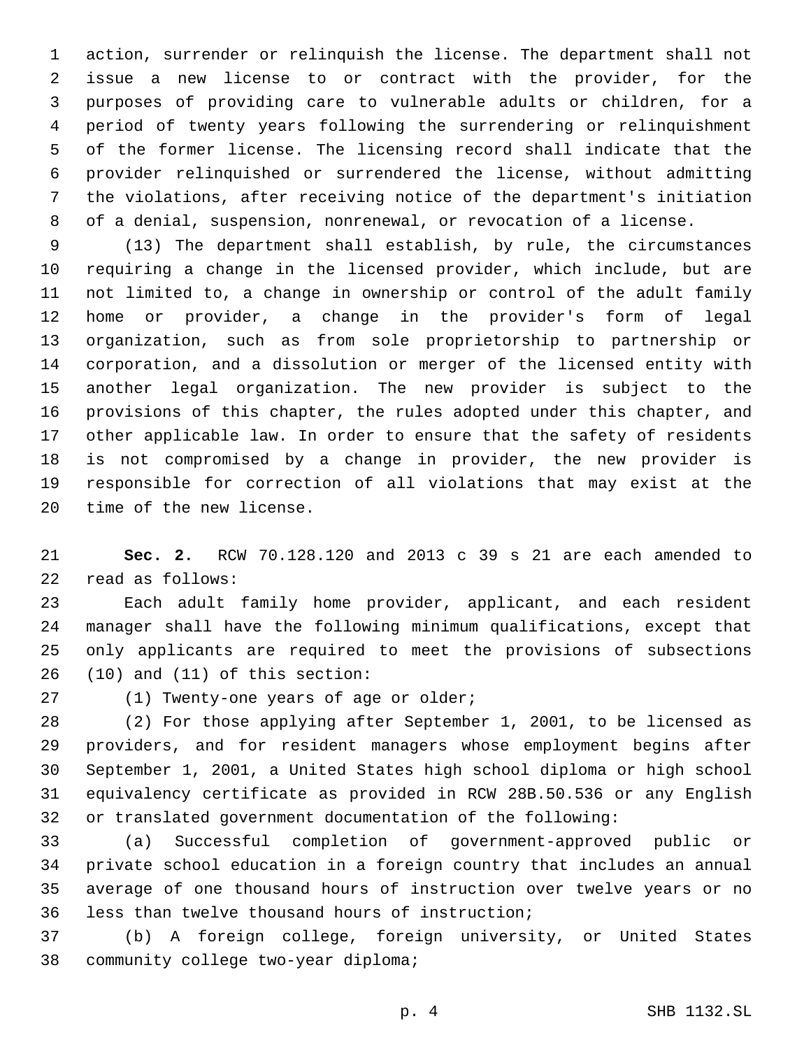action, surrender or relinquish the license. The department shall not issue a new license to or contract with the provider, for the purposes of providing care to vulnerable adults or children, for a period of twenty years following the surrendering or relinquishment of the former license. The licensing record shall indicate that the provider relinquished or surrendered the license, without admitting the violations, after receiving notice of the department's initiation of a denial, suspension, nonrenewal, or revocation of a license.

 (13) The department shall establish, by rule, the circumstances requiring a change in the licensed provider, which include, but are not limited to, a change in ownership or control of the adult family home or provider, a change in the provider's form of legal organization, such as from sole proprietorship to partnership or corporation, and a dissolution or merger of the licensed entity with another legal organization. The new provider is subject to the provisions of this chapter, the rules adopted under this chapter, and other applicable law. In order to ensure that the safety of residents is not compromised by a change in provider, the new provider is responsible for correction of all violations that may exist at the 20 time of the new license.

 **Sec. 2.** RCW 70.128.120 and 2013 c 39 s 21 are each amended to 22 read as follows:

 Each adult family home provider, applicant, and each resident manager shall have the following minimum qualifications, except that only applicants are required to meet the provisions of subsections (10) and (11) of this section:

27 (1) Twenty-one years of age or older;

 (2) For those applying after September 1, 2001, to be licensed as providers, and for resident managers whose employment begins after September 1, 2001, a United States high school diploma or high school equivalency certificate as provided in RCW 28B.50.536 or any English or translated government documentation of the following:

 (a) Successful completion of government-approved public or private school education in a foreign country that includes an annual average of one thousand hours of instruction over twelve years or no 36 less than twelve thousand hours of instruction;

 (b) A foreign college, foreign university, or United States 38 community college two-year diploma;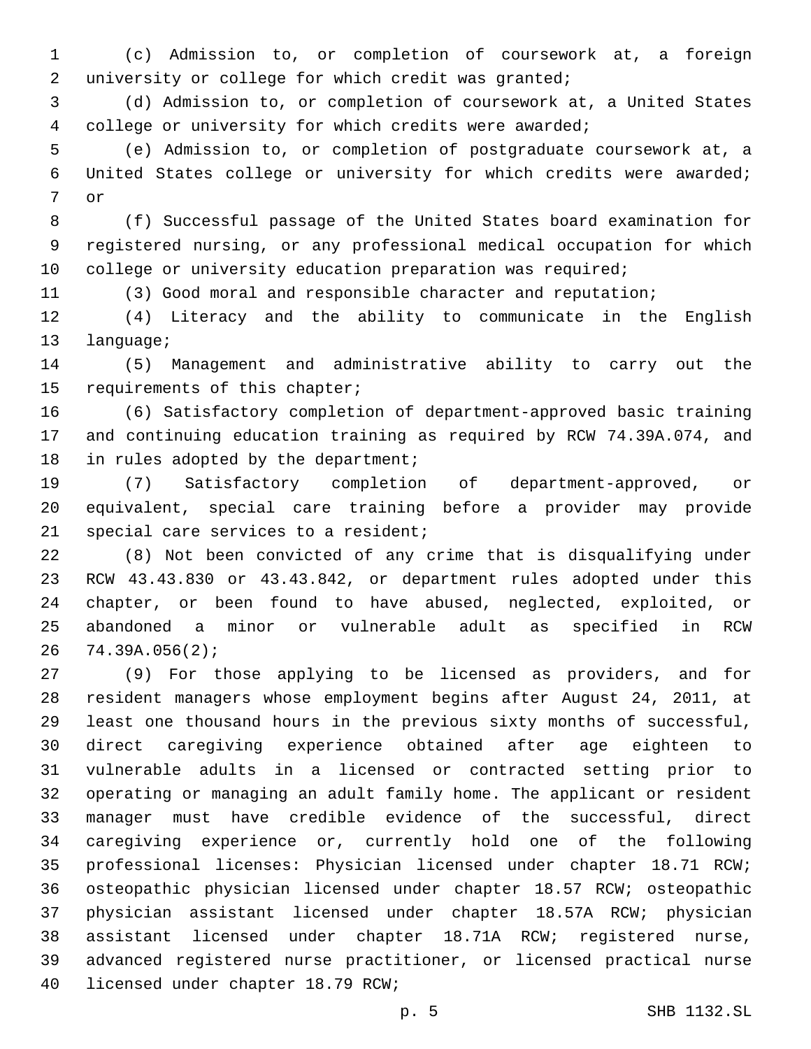(c) Admission to, or completion of coursework at, a foreign university or college for which credit was granted;

 (d) Admission to, or completion of coursework at, a United States college or university for which credits were awarded;

 (e) Admission to, or completion of postgraduate coursework at, a United States college or university for which credits were awarded; 7 or

 (f) Successful passage of the United States board examination for registered nursing, or any professional medical occupation for which 10 college or university education preparation was required;

(3) Good moral and responsible character and reputation;

 (4) Literacy and the ability to communicate in the English 13 language;

 (5) Management and administrative ability to carry out the 15 requirements of this chapter;

 (6) Satisfactory completion of department-approved basic training and continuing education training as required by RCW 74.39A.074, and 18 in rules adopted by the department;

 (7) Satisfactory completion of department-approved, or equivalent, special care training before a provider may provide 21 special care services to a resident;

 (8) Not been convicted of any crime that is disqualifying under RCW 43.43.830 or 43.43.842, or department rules adopted under this chapter, or been found to have abused, neglected, exploited, or abandoned a minor or vulnerable adult as specified in RCW 74.39A.056(2);

 (9) For those applying to be licensed as providers, and for resident managers whose employment begins after August 24, 2011, at least one thousand hours in the previous sixty months of successful, direct caregiving experience obtained after age eighteen to vulnerable adults in a licensed or contracted setting prior to operating or managing an adult family home. The applicant or resident manager must have credible evidence of the successful, direct caregiving experience or, currently hold one of the following professional licenses: Physician licensed under chapter 18.71 RCW; osteopathic physician licensed under chapter 18.57 RCW; osteopathic physician assistant licensed under chapter 18.57A RCW; physician assistant licensed under chapter 18.71A RCW; registered nurse, advanced registered nurse practitioner, or licensed practical nurse 40 licensed under chapter 18.79 RCW;